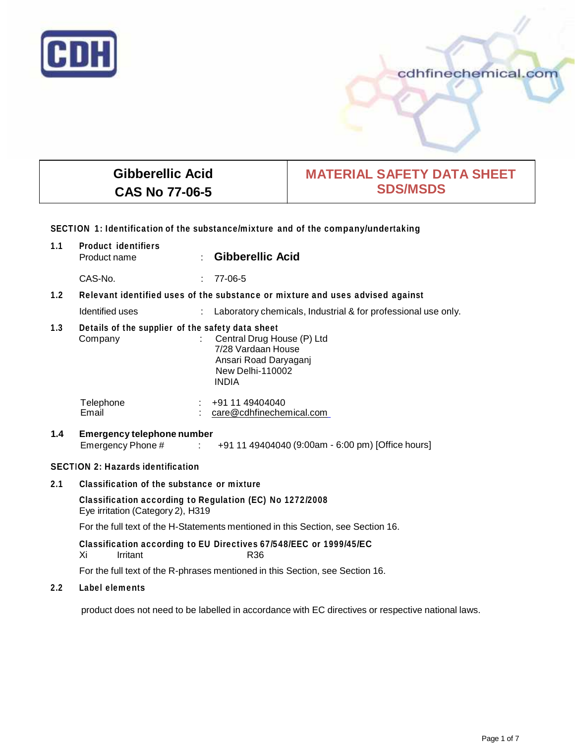

# cdhfinechemical.com

# **Gibberellic Acid CAS No 77-06-5**

# **MATERIAL SAFETY DATA SHEET SDS/MSDS**

## **SECTION 1: Identification of the substance/mixture and of the company/undertaking**

| 1.1 | <b>Product identifiers</b><br>Product name                                                                                                                                            |        | <b>Gibberellic Acid</b>                                       |
|-----|---------------------------------------------------------------------------------------------------------------------------------------------------------------------------------------|--------|---------------------------------------------------------------|
|     | CAS-No.                                                                                                                                                                               | t.     | 77-06-5                                                       |
| 1.2 | Relevant identified uses of the substance or mixture and uses advised against                                                                                                         |        |                                                               |
|     | Identified uses                                                                                                                                                                       |        | Laboratory chemicals, Industrial & for professional use only. |
| 1.3 | Details of the supplier of the safety data sheet<br>: Central Drug House (P) Ltd<br>Company<br>7/28 Vardaan House<br>Ansari Road Daryaganj<br><b>New Delhi-110002</b><br><b>INDIA</b> |        |                                                               |
|     | Telephone<br>Email                                                                                                                                                                    |        | $\div$ +91 11 49404040<br>care@cdhfinechemical.com            |
| 1.4 | <b>Emergency telephone number</b><br>Emergency Phone #                                                                                                                                | 100000 | +91 11 49404040 (9:00am - 6:00 pm) [Office hours]             |

# **SECTION 2: Hazards identification**

**2.1 Classification of the substance or mixture**

**Classification according to Regulation (EC) No 1272/2008** Eye irritation (Category 2), H319

For the full text of the H-Statements mentioned in this Section, see Section 16.

## **Classification according to EU Directives 67/548/EEC or 1999/45/EC** Xi Irritant R36

For the full text of the R-phrases mentioned in this Section, see Section 16.

## **2.2 Label elements**

product does not need to be labelled in accordance with EC directives or respective national laws.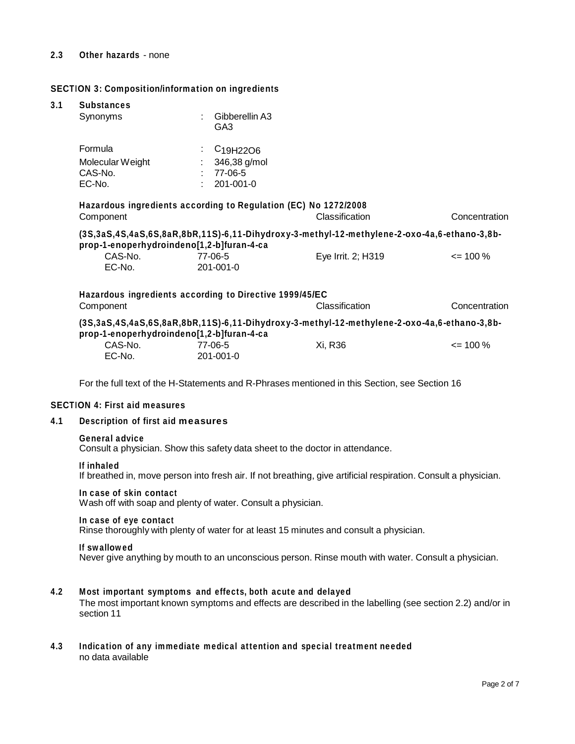#### **2.3 Other hazards** - none

#### **SECTION 3: Composition/information on ingredients**

# **3.1 Substances**

| Supstances<br>Synonyms                           | Gibberellin A3<br>GA3                                                                  |                                                                                             |               |
|--------------------------------------------------|----------------------------------------------------------------------------------------|---------------------------------------------------------------------------------------------|---------------|
| Formula<br>Molecular Weight<br>CAS-No.<br>EC-No. | C <sub>19</sub> H <sub>22</sub> O <sub>6</sub><br>346,38 g/mol<br>77-06-5<br>201-001-0 |                                                                                             |               |
| Component                                        | Hazardous ingredients according to Regulation (EC) No 1272/2008                        | Classification                                                                              | Concentration |
| prop-1-enoperhydroindeno[1,2-b]furan-4-ca        |                                                                                        | (3S,3aS,4S,4aS,6S,8aR,8bR,11S)-6,11-Dihydroxy-3-methyl-12-methylene-2-oxo-4a,6-ethano-3,8b- |               |
| CAS-No.<br>EC-No.                                | 77-06-5<br>201-001-0                                                                   | Eye Irrit. 2; H319                                                                          | $\leq$ 100 %  |
|                                                  | Hazardous ingredients according to Directive 1999/45/EC                                |                                                                                             |               |
| Component                                        |                                                                                        | Classification                                                                              | Concentration |
| prop-1-enoperhydroindeno[1,2-b]furan-4-ca        |                                                                                        | (3S,3aS,4S,4aS,6S,8aR,8bR,11S)-6,11-Dihydroxy-3-methyl-12-methylene-2-oxo-4a,6-ethano-3,8b- |               |
| CAS-No.<br>EC-No.                                | 77-06-5<br>201-001-0                                                                   | Xi, R36                                                                                     | $\leq$ 100 %  |
|                                                  |                                                                                        |                                                                                             |               |

For the full text of the H-Statements and R-Phrases mentioned in this Section, see Section 16

#### **SECTION 4: First aid measures**

#### **4.1 Description of first aid measures**

#### **General advice**

Consult a physician. Show this safety data sheet to the doctor in attendance.

#### **If inhaled**

If breathed in, move person into fresh air. If not breathing, give artificial respiration. Consult a physician.

#### **In case of skin contact**

Wash off with soap and plenty of water. Consult a physician.

#### **In case of eye contact**

Rinse thoroughly with plenty of water for at least 15 minutes and consult a physician.

#### **If swallowed**

Never give anything by mouth to an unconscious person. Rinse mouth with water. Consult a physician.

#### **4.2 Most important symptoms and effects, both acute and delayed**

The most important known symptoms and effects are described in the labelling (see section 2.2) and/or in section 11

## **4.3 Indication of any immediate medical attention and special treatment needed** no data available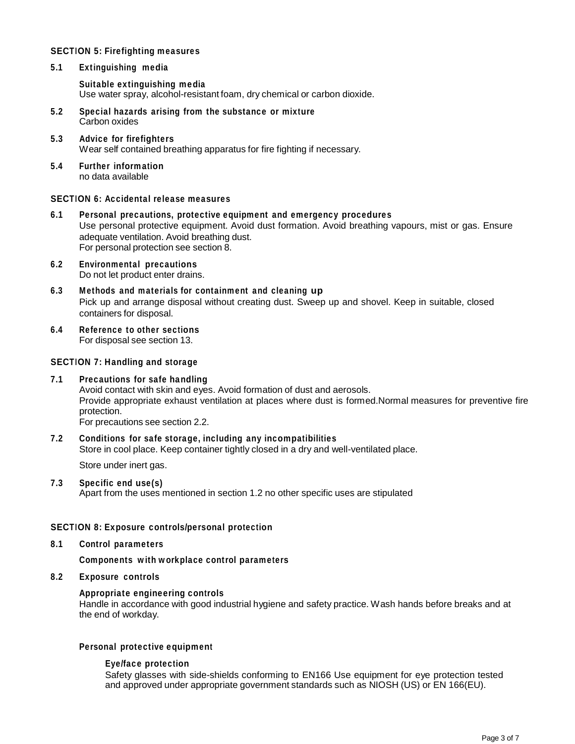## **SECTION 5: Firefighting measures**

**5.1 Extinguishing media**

**Suitable extinguishing media** Use water spray, alcohol-resistant foam, dry chemical or carbon dioxide.

- **5.2 Special hazards arising from the substance or mixture** Carbon oxides
- **5.3 Advice forfirefighters** Wear self contained breathing apparatus for fire fighting if necessary.
- **5.4 Further information** no data available

## **SECTION 6: Accidental release measures**

- **6.1 Personal precautions, protective equipment and emergency procedures** Use personal protective equipment. Avoid dust formation. Avoid breathing vapours, mist or gas. Ensure adequate ventilation. Avoid breathing dust. For personal protection see section 8.
- **6.2 Environmental precautions** Do not let product enter drains.
- **6.3 Methods and materials for containment and cleaning up** Pick up and arrange disposal without creating dust. Sweep up and shovel. Keep in suitable, closed containers for disposal.
- **6.4 Reference to other sections**

For disposal see section 13.

## **SECTION 7: Handling and storage**

## **7.1 Precautions for safe handling**

Avoid contact with skin and eyes. Avoid formation of dust and aerosols. Provide appropriate exhaust ventilation at places where dust is formed.Normal measures for preventive fire protection.

For precautions see section 2.2.

# **7.2 Conditions for safe storage, including any incompatibilities** Store in cool place. Keep container tightly closed in a dry and well-ventilated place.

Store under inert gas.

## **7.3 Specific end use(s)**

Apart from the uses mentioned in section 1.2 no other specific uses are stipulated

## **SECTION 8: Exposure controls/personal protection**

**8.1 Control parameters**

**Components with workplace control parameters**

## **8.2 Exposure controls**

## **Appropriate engineering controls**

Handle in accordance with good industrial hygiene and safety practice. Wash hands before breaks and at the end of workday.

## **Personal protective equipment**

## **Eye/face protection**

Safety glasses with side-shields conforming to EN166 Use equipment for eye protection tested and approved under appropriate government standards such as NIOSH (US) or EN 166(EU).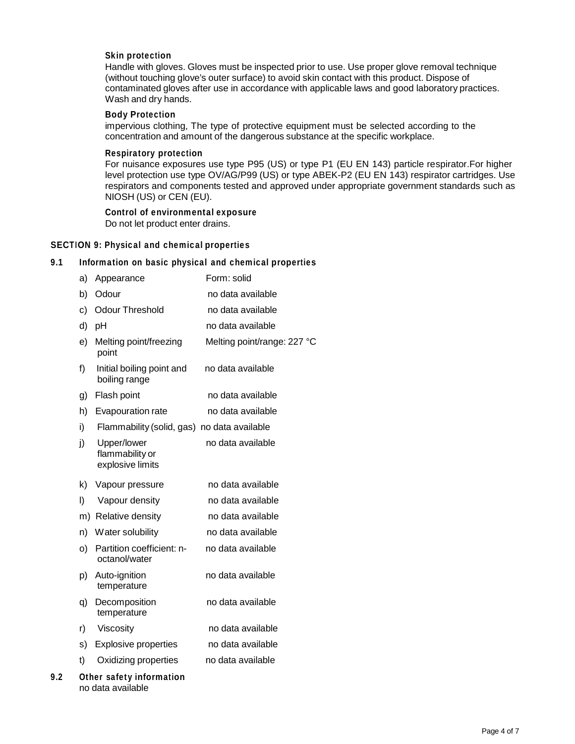#### **Skin protection**

Handle with gloves. Gloves must be inspected prior to use. Use proper glove removal technique (without touching glove's outer surface) to avoid skin contact with this product. Dispose of contaminated gloves after use in accordance with applicable laws and good laboratory practices. Wash and dry hands.

## **Body Protection**

impervious clothing, The type of protective equipment must be selected according to the concentration and amount of the dangerous substance at the specific workplace.

#### **Respiratory protection**

For nuisance exposures use type P95 (US) or type P1 (EU EN 143) particle respirator.For higher level protection use type OV/AG/P99 (US) or type ABEK-P2 (EU EN 143) respirator cartridges. Use respirators and components tested and approved under appropriate government standards such as NIOSH (US) or CEN (EU).

#### **Control of environmental exposure**

Do not let product enter drains.

## **SECTION 9: Physical and chemical properties**

#### **9.1 Information on basic physical and chemical properties**

|     | a) | Appearance                                         | Form: solid                 |
|-----|----|----------------------------------------------------|-----------------------------|
|     | b) | Odour                                              | no data available           |
|     | c) | <b>Odour Threshold</b>                             | no data available           |
|     | d) | pH                                                 | no data available           |
|     | e) | Melting point/freezing<br>point                    | Melting point/range: 227 °C |
|     | f) | Initial boiling point and<br>boiling range         | no data available           |
|     | g) | Flash point                                        | no data available           |
|     | h) | Evapouration rate                                  | no data available           |
|     | i) | Flammability (solid, gas) no data available        |                             |
|     | j) | Upper/lower<br>flammability or<br>explosive limits | no data available           |
|     | k) | Vapour pressure                                    | no data available           |
|     | I) | Vapour density                                     | no data available           |
|     |    | m) Relative density                                | no data available           |
|     | n) | Water solubility                                   | no data available           |
|     | O) | Partition coefficient: n-<br>octanol/water         | no data available           |
|     | p) | Auto-ignition<br>temperature                       | no data available           |
|     | q) | Decomposition<br>temperature                       | no data available           |
|     | r) | Viscosity                                          | no data available           |
|     | s) | <b>Explosive properties</b>                        | no data available           |
|     | t) | Oxidizing properties                               | no data available           |
| 9.2 |    | Other safety information<br>no data available      |                             |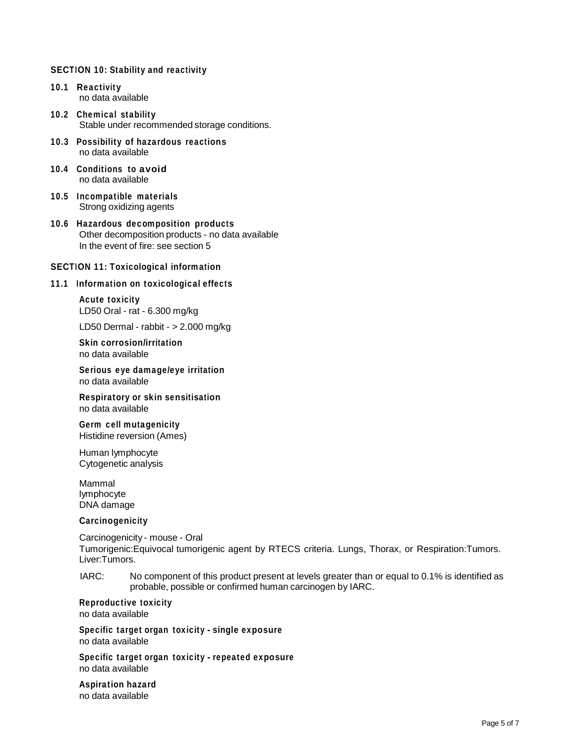## **SECTION 10: Stability and reactivity**

- **10.1 Reactivity** no data available
- **10.2 Chemical stability** Stable under recommended storage conditions.
- **10.3 Possibility of hazardous reactions** no data available
- **10.4 Conditions to avoid** no data available
- **10.5 Incompatible materials** Strong oxidizing agents
- **10.6 Hazardous decomposition products** Other decomposition products - no data available In the event of fire: see section 5

#### **SECTION 11: Toxicological information**

#### **11.1 Information on toxicological effects**

**Acute toxicity** LD50 Oral - rat - 6.300 mg/kg

LD50 Dermal - rabbit - > 2.000 mg/kg

**Skin corrosion/irritation** no data available

**Serious eye damage/eye irritation** no data available

**Respiratory orskin sensitisation** no data available

**Germ cell mutagenicity** Histidine reversion (Ames)

Human lymphocyte Cytogenetic analysis

Mammal lymphocyte DNA damage

#### **Carcinogenicity**

Carcinogenicity - mouse - Oral Tumorigenic:Equivocal tumorigenic agent by RTECS criteria. Lungs, Thorax, or Respiration:Tumors. Liver:Tumors.

IARC: No component of this product present at levels greater than or equal to 0.1% is identified as probable, possible or confirmed human carcinogen by IARC.

# **Reproductive toxicity**

no data available

**Specific target organ toxicity - single exposure** no data available

**Specific target organ toxicity - repeated exposure** no data available

**Aspiration hazard** no data available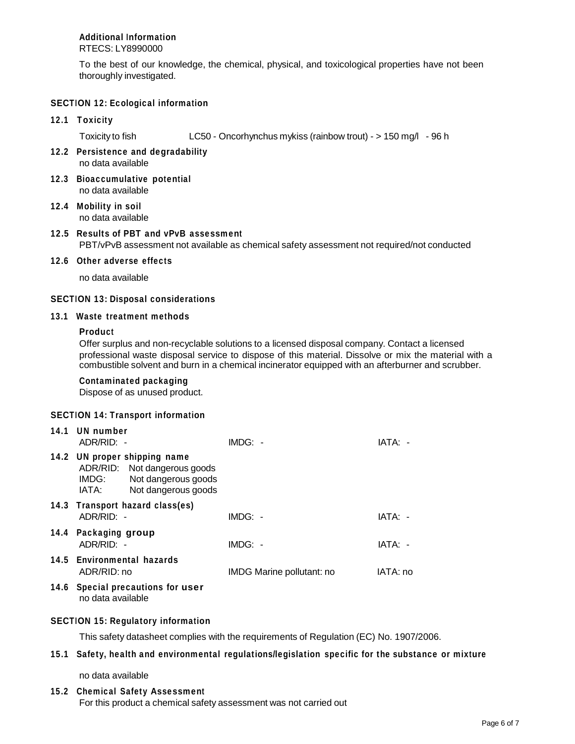# **Additional Information**

RTECS: LY8990000

To the best of our knowledge, the chemical, physical, and toxicological properties have not been thoroughly investigated.

# **SECTION 12: Ecological information**

# **12.1 Toxicity**

Toxicity to fish LC50 - Oncorhynchus mykiss (rainbow trout) - > 150 mg/l - 96 h

- **12.2 Persistence and degradability** no data available
- **12.3 Bioaccumulative potential** no data available
- **12.4 Mobility in soil** no data available

## **12.5 Results of PBT and vPvB assessment** PBT/vPvB assessment not available as chemical safety assessment not required/not conducted

## **12.6 Other adverse effects**

no data available

## **SECTION 13: Disposal considerations**

## **13.1 Waste treatment methods**

## **Product**

Offer surplus and non-recyclable solutions to a licensed disposal company. Contact a licensed professional waste disposal service to dispose of this material. Dissolve or mix the material with a combustible solvent and burn in a chemical incinerator equipped with an afterburner and scrubber.

## **Contaminated packaging**

Dispose of as unused product.

# **SECTION 14: Transport information**

| 14.1 | UN number<br>ADR/RID: -                                                                                                      | $IMDG: -$                 | IATA: -  |
|------|------------------------------------------------------------------------------------------------------------------------------|---------------------------|----------|
|      | 14.2 UN proper shipping name<br>ADR/RID: Not dangerous goods<br>Not dangerous goods<br>IMDG:<br>Not dangerous goods<br>IATA: |                           |          |
|      | 14.3 Transport hazard class(es)<br>ADR/RID: -                                                                                | $IMDG: -$                 | IATA: -  |
|      | 14.4 Packaging group<br>ADR/RID: -                                                                                           | $IMDG: -$                 | IATA: -  |
|      | 14.5 Environmental hazards<br>ADR/RID: no                                                                                    | IMDG Marine pollutant: no | IATA: no |
|      | 14.6 Special precautions for user<br>no data available                                                                       |                           |          |

## **SECTION 15: Regulatory information**

This safety datasheet complies with the requirements of Regulation (EC) No. 1907/2006.

## **15.1 Safety, health and environmental regulations/legislation specific for the substance or mixture**

no data available

## **15.2 Chemical Safety Assessment**

For this product a chemical safety assessment was not carried out